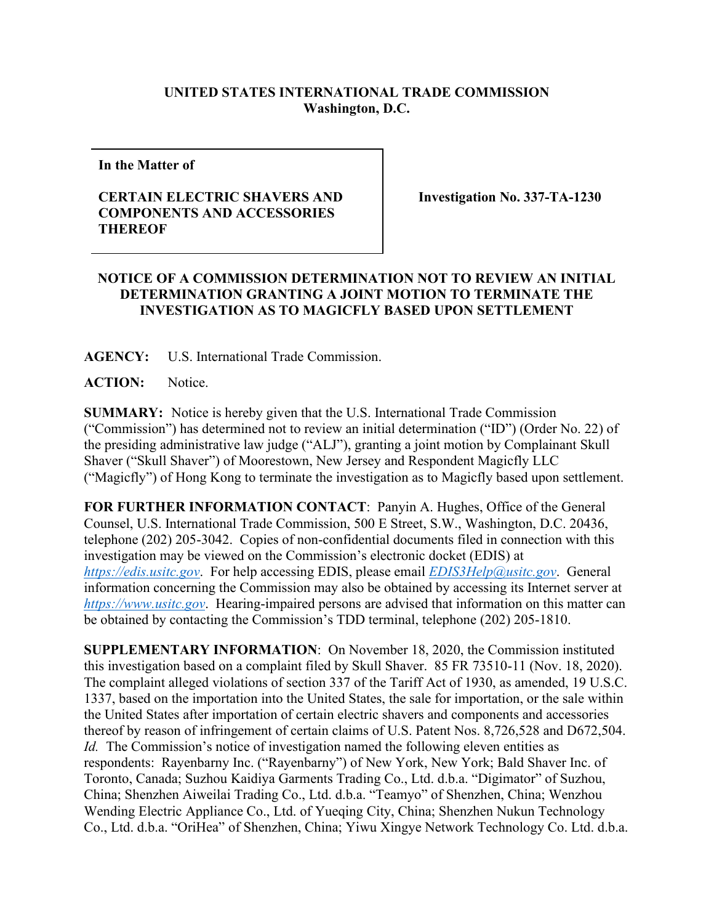## **UNITED STATES INTERNATIONAL TRADE COMMISSION Washington, D.C.**

**In the Matter of** 

## **CERTAIN ELECTRIC SHAVERS AND COMPONENTS AND ACCESSORIES THEREOF**

**Investigation No. 337-TA-1230**

## **NOTICE OF A COMMISSION DETERMINATION NOT TO REVIEW AN INITIAL DETERMINATION GRANTING A JOINT MOTION TO TERMINATE THE INVESTIGATION AS TO MAGICFLY BASED UPON SETTLEMENT**

**AGENCY:** U.S. International Trade Commission.

**ACTION:** Notice.

**SUMMARY:** Notice is hereby given that the U.S. International Trade Commission ("Commission") has determined not to review an initial determination ("ID") (Order No. 22) of the presiding administrative law judge ("ALJ"), granting a joint motion by Complainant Skull Shaver ("Skull Shaver") of Moorestown, New Jersey and Respondent Magicfly LLC ("Magicfly") of Hong Kong to terminate the investigation as to Magicfly based upon settlement.

**FOR FURTHER INFORMATION CONTACT**: Panyin A. Hughes, Office of the General Counsel, U.S. International Trade Commission, 500 E Street, S.W., Washington, D.C. 20436, telephone (202) 205-3042. Copies of non-confidential documents filed in connection with this investigation may be viewed on the Commission's electronic docket (EDIS) at *[https://edis.usitc.gov](https://edis.usitc.gov/)*. For help accessing EDIS, please email *[EDIS3Help@usitc.gov](mailto:EDIS3Help@usitc.gov)*. General information concerning the Commission may also be obtained by accessing its Internet server at *[https://www.usitc.gov](https://www.usitc.gov/)*. Hearing-impaired persons are advised that information on this matter can be obtained by contacting the Commission's TDD terminal, telephone (202) 205-1810.

**SUPPLEMENTARY INFORMATION**: On November 18, 2020, the Commission instituted this investigation based on a complaint filed by Skull Shaver. 85 FR 73510-11 (Nov. 18, 2020). The complaint alleged violations of section 337 of the Tariff Act of 1930, as amended, 19 U.S.C. 1337, based on the importation into the United States, the sale for importation, or the sale within the United States after importation of certain electric shavers and components and accessories thereof by reason of infringement of certain claims of U.S. Patent Nos. 8,726,528 and D672,504. *Id.* The Commission's notice of investigation named the following eleven entities as respondents: Rayenbarny Inc. ("Rayenbarny") of New York, New York; Bald Shaver Inc. of Toronto, Canada; Suzhou Kaidiya Garments Trading Co., Ltd. d.b.a. "Digimator" of Suzhou, China; Shenzhen Aiweilai Trading Co., Ltd. d.b.a. "Teamyo" of Shenzhen, China; Wenzhou Wending Electric Appliance Co., Ltd. of Yueqing City, China; Shenzhen Nukun Technology Co., Ltd. d.b.a. "OriHea" of Shenzhen, China; Yiwu Xingye Network Technology Co. Ltd. d.b.a.